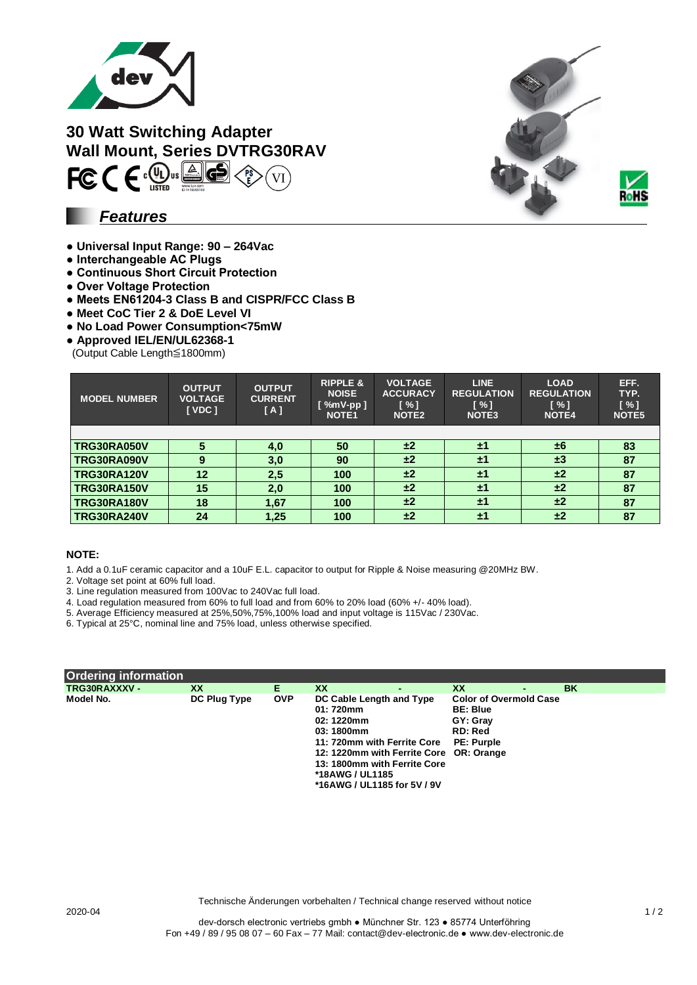

**30 Watt Switching Adapter Wall Mount, Series DVTRG30RAV**  $FC C \in \mathbb{R}$  $\overline{\mathbf{G}}$ Δ,

## *Features*

- **Universal Input Range: 90 – 264Vac**
- **Interchangeable AC Plugs**
- **Continuous Short Circuit Protection**
- **Over Voltage Protection**
- **Meets EN61204-3 Class B and CISPR/FCC Class B**
- **● Meet CoC Tier 2 & DoE Level VI**
- **No Load Power Consumption<75mW**
- **Approved IEL/EN/UL62368-1**
- (Output Cable Length≦1800mm)

| <b>MODEL NUMBER</b> | <b>OUTPUT</b><br><b>VOLTAGE</b><br>[VDC] | <b>OUTPUT</b><br><b>CURRENT</b><br>[A] | <b>RIPPLE &amp;</b><br><b>NOISE</b><br>$[$ %mV-pp $]$<br><b>NOTE1</b> | <b>VOLTAGE</b><br><b>ACCURACY</b><br>$\lceil \% \rceil$<br><b>NOTE2</b> | <b>LINE</b><br><b>REGULATION</b><br>$\lceil \% \rceil$<br><b>NOTE3</b> | <b>LOAD</b><br><b>REGULATION</b><br>$\lceil \% \rceil$<br><b>NOTE4</b> | EFF.<br>TYP.<br>[%]<br>NOTE <sub>5</sub> |
|---------------------|------------------------------------------|----------------------------------------|-----------------------------------------------------------------------|-------------------------------------------------------------------------|------------------------------------------------------------------------|------------------------------------------------------------------------|------------------------------------------|
|                     |                                          |                                        |                                                                       |                                                                         |                                                                        |                                                                        |                                          |
| <b>TRG30RA050V</b>  | 5                                        | 4,0                                    | 50                                                                    | ±2                                                                      | ±1                                                                     | ±6                                                                     | 83                                       |
| TRG30RA090V         | 9                                        | 3,0                                    | 90                                                                    | ±2                                                                      | ±1                                                                     | $\pm 3$                                                                | 87                                       |
| <b>TRG30RA120V</b>  | 12                                       | 2,5                                    | 100                                                                   | ±2                                                                      | ±1                                                                     | ±2                                                                     | 87                                       |
| <b>TRG30RA150V</b>  | 15                                       | 2,0                                    | 100                                                                   | ±2                                                                      | ±1                                                                     | ±2                                                                     | 87                                       |
| <b>TRG30RA180V</b>  | 18                                       | 1,67                                   | 100                                                                   | ±2                                                                      | ±1                                                                     | ±2                                                                     | 87                                       |
| <b>TRG30RA240V</b>  | 24                                       | 1,25                                   | 100                                                                   | ±2                                                                      | ±1                                                                     | ±2                                                                     | 87                                       |

#### **NOTE:**

1. Add a 0.1uF ceramic capacitor and a 10uF E.L. capacitor to output for Ripple & Noise measuring @20MHz BW.

2. Voltage set point at 60% full load.

3. Line regulation measured from 100Vac to 240Vac full load.

4. Load regulation measured from 60% to full load and from 60% to 20% load (60% +/- 40% load).

5. Average Efficiency measured at 25%,50%,75%,100% load and input voltage is 115Vac / 230Vac.

6. Typical at 25°C, nominal line and 75% load, unless otherwise specified.

| Ordering information |              |            |                                                                                                                                                                                                                                     |                                                                                                     |    |
|----------------------|--------------|------------|-------------------------------------------------------------------------------------------------------------------------------------------------------------------------------------------------------------------------------------|-----------------------------------------------------------------------------------------------------|----|
| TRG30RAXXXV -        | <b>XX</b>    | Е.         | XX                                                                                                                                                                                                                                  | XX                                                                                                  | BK |
| Model No.            | DC Plug Type | <b>OVP</b> | DC Cable Length and Type<br>01: 720mm<br>02: 1220mm<br>03:1800mm<br>11: 720mm with Ferrite Core<br>12: 1220mm with Ferrite Core OR: Orange<br>13: 1800mm with Ferrite Core<br><b>*18AWG / UL1185</b><br>*16AWG / UL1185 for 5V / 9V | <b>Color of Overmold Case</b><br><b>BE: Blue</b><br>GY: Gray<br><b>RD: Red</b><br><b>PE: Purple</b> |    |

Technische Änderungen vorbehalten / Technical change reserved without notice